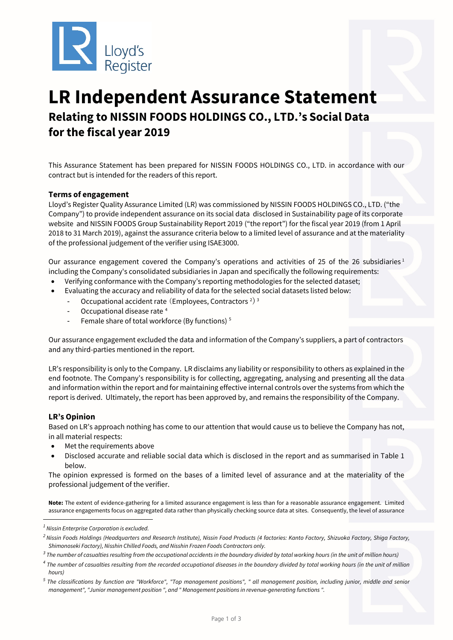

# **LR Independent Assurance Statement Relating to NISSIN FOODS HOLDINGS CO., LTD.'s Social Data for the fiscal year 2019**

This Assurance Statement has been prepared for NISSIN FOODS HOLDINGS CO., LTD. in accordance with our contract but is intended for the readers of this report.

## **Terms of engagement**

Lloyd's Register Quality Assurance Limited (LR) was commissioned by NISSIN FOODS HOLDINGS CO., LTD. ("the Company") to provide independent assurance on its social data disclosed in Sustainability page of its corporate website and NISSIN FOODS Group Sustainability Report 2019 ("the report") for the fiscal year 2019 (from 1 April 2018 to 31 March 2019), against the assurance criteria below to a limited level of assurance and at the materiality of the professional judgement of the verifier using ISAE3000.

Our assurance engagement covered the Company's operations and activities of 25 of the 26 subsidiaries<sup>[1](#page-0-0)</sup> including the Company's consolidated subsidiaries in Japan and specifically the following requirements:

- Verifying conformance with the Company's reporting methodologies for the selected dataset;
- Evaluating the accuracy and reliability of data for the selected social datasets listed below:
	- Occupational accident rate (Employees, Contractors<sup>[2](#page-0-1)) [3](#page-0-2)</sup>
	- Occupational disease rate<sup>[4](#page-0-3)</sup>
	- Female share of total workforce (By functions) [5](#page-0-4)

Our assurance engagement excluded the data and information of the Company's suppliers, a part of contractors and any third-parties mentioned in the report.

LR's responsibility is only to the Company. LR disclaims any liability or responsibility to others as explained in the end footnote. The Company's responsibility is for collecting, aggregating, analysing and presenting all the data and information within the report and for maintaining effective internal controls over the systems from which the report is derived. Ultimately, the report has been approved by, and remains the responsibility of the Company.

## **LR's Opinion**

-

Based on LR's approach nothing has come to our attention that would cause us to believe the Company has not, in all material respects:

- Met the requirements above
- Disclosed accurate and reliable social data which is disclosed in the report and as summarised in Table 1 below.

The opinion expressed is formed on the bases of a limited level of assurance and at the materiality of the professional judgement of the verifier.

**Note:** The extent of evidence-gathering for a limited assurance engagement is less than for a reasonable assurance engagement. Limited assurance engagements focus on aggregated data rather than physically checking source data at sites. Consequently, the level of assurance

<span id="page-0-0"></span>*<sup>1</sup> Nissin Enterprise Corporation is excluded.*

<span id="page-0-1"></span>*<sup>2</sup> Nissin Foods Holdings (Headquarters and Research Institute), Nissin Food Products (4 factories: Kanto Factory, Shizuoka Factory, Shiga Factory, Shimonoseki Factory), Nisshin Chilled Foods, and Nisshin Frozen Foods Contractors only.*

<span id="page-0-2"></span>*<sup>3</sup> The number of casualties resulting from the occupational accidents in the boundary divided by total working hours (in the unit of million hours)* 

<span id="page-0-3"></span>*<sup>4</sup> The number of casualties resulting from the recorded occupational diseases in the boundary divided by total working hours (in the unit of million hours)*

<span id="page-0-4"></span>*<sup>5</sup> The classifications by function are "Workforce", "Top management positions", " all management position, including junior, middle and senior management", "Junior management position ", and " Management positions in revenue-generating functions ".*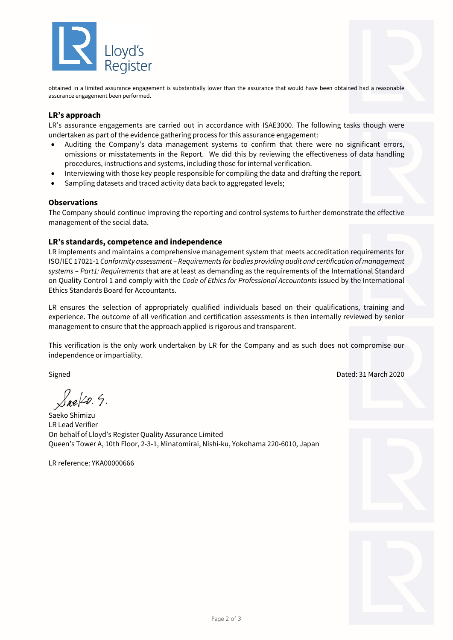

obtained in a limited assurance engagement is substantially lower than the assurance that would have been obtained had a reasonable assurance engagement been performed.

## **LR's approach**

LR's assurance engagements are carried out in accordance with ISAE3000. The following tasks though were undertaken as part of the evidence gathering process for this assurance engagement:

- Auditing the Company's data management systems to confirm that there were no significant errors, omissions or misstatements in the Report. We did this by reviewing the effectiveness of data handling procedures, instructions and systems, including those for internal verification.
- Interviewing with those key people responsible for compiling the data and drafting the report.
- Sampling datasets and traced activity data back to aggregated levels;

## **Observations**

The Company should continue improving the reporting and control systems to further demonstrate the effective management of the social data.

## **LR's standards, competence and independence**

LR implements and maintains a comprehensive management system that meets accreditation requirements for ISO/IEC 17021-1 *Conformity assessment – Requirements for bodies providing audit and certification of management systems – Part1: Requirements* that are at least as demanding as the requirements of the International Standard on Quality Control 1 and comply with the *Code of Ethics for Professional Accountants* issued by the International Ethics Standards Board for Accountants.

LR ensures the selection of appropriately qualified individuals based on their qualifications, training and experience. The outcome of all verification and certification assessments is then internally reviewed by senior management to ensure that the approach applied is rigorous and transparent.

This verification is the only work undertaken by LR for the Company and as such does not compromise our independence or impartiality.

Signed Dated: 31 March 2020

 $S_{ne}$   $\swarrow$  9.

Saeko Shimizu LR Lead Verifier On behalf of Lloyd's Register Quality Assurance Limited Queen's Tower A, 10th Floor, 2-3-1, Minatomirai, Nishi-ku, Yokohama 220-6010, Japan

LR reference: YKA00000666